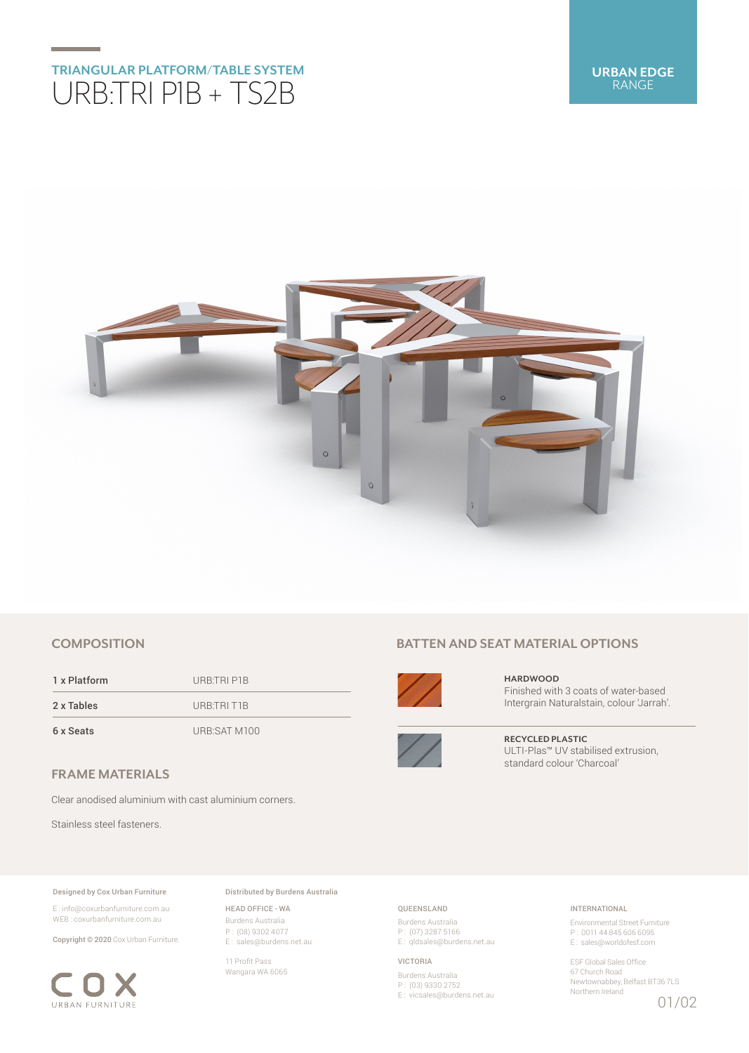# **TRIANGULAR PLATFORM/TABLE SYSTEM** URB:TRI P1B + TS2B



## **COMPOSITION**

1 x Platform URB:TRI P1B 2 x Tables URB:TRI T1B 6 x Seats URB:SAT M100

**FRAME MATERIALS**

Clear anodised aluminium with cast aluminium corners.

Stainless steel fasteners.

#### Designed by Cox Urban Furniture

E : info@coxurbanfurniture.com.au WEB : coxurbanfurniture.com.au

Copyright © 2020 Cox Urban Furniture.



Distributed by Burdens Australia

HEAD OFFICE - WA Burdens Australia P : (08) 9302 4077 E : sales@burdens.net.au

11 Profit Pass Wangara WA 6065

## **BATTEN AND SEAT MATERIAL OPTIONS**



**HARDWOOD** Finished with 3 coats of water-based Intergrain Naturalstain, colour 'Jarrah'.



**RECYCLED PLASTIC** ULTI-Plas™ UV stabilised extrusion, standard colour 'Charcoal'

## QUEENSLAND

Burdens Australia P : (07) 3287 5166 E : qldsales@burdens.net.au

VICTORIA

Burdens Australia P : (03) 9330 2752 E : vicsales@burdens.net.au

## INTERNATIONAL

Environmental Street Furniture P : 0011 44 845 606 6095 E : sales@worldofesf.com

ESF Global Sales Office 67 Church Road Newtownabbey, Belfast BT36 7LS Northern Ireland 01/02